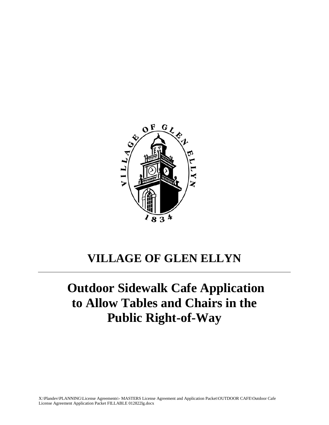

## **VILLAGE OF GLEN ELLYN**

# **Outdoor Sidewalk Cafe Application to Allow Tables and Chairs in the Public Right-of-Way**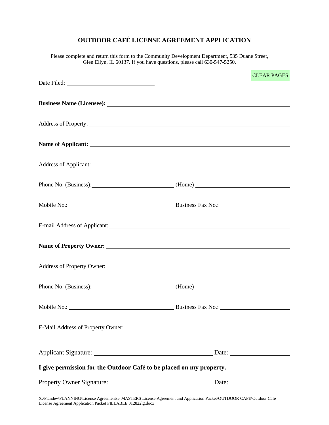## **OUTDOOR CAFÉ LICENSE AGREEMENT APPLICATION**

Please complete and return this form to the Community Development Department, 535 Duane Street, Glen Ellyn, IL 60137. If you have questions, please call 630-547-5250.

|                                                                     |  | <b>CLEAR PAGES</b>    |  |  |  |
|---------------------------------------------------------------------|--|-----------------------|--|--|--|
|                                                                     |  |                       |  |  |  |
|                                                                     |  |                       |  |  |  |
|                                                                     |  |                       |  |  |  |
|                                                                     |  |                       |  |  |  |
|                                                                     |  |                       |  |  |  |
| Phone No. (Business): (Home)                                        |  |                       |  |  |  |
|                                                                     |  |                       |  |  |  |
|                                                                     |  |                       |  |  |  |
|                                                                     |  |                       |  |  |  |
|                                                                     |  |                       |  |  |  |
|                                                                     |  |                       |  |  |  |
|                                                                     |  |                       |  |  |  |
|                                                                     |  |                       |  |  |  |
|                                                                     |  |                       |  |  |  |
| I give permission for the Outdoor Café to be placed on my property. |  |                       |  |  |  |
|                                                                     |  | Date: $\qquad \qquad$ |  |  |  |
|                                                                     |  |                       |  |  |  |

X:\Plandev\PLANNING\License Agreements\- MASTERS License Agreement and Application Packet\OUTDOOR CAFE\Outdoor Cafe License Agreement Application Packet FILLABLE 0128221g.docx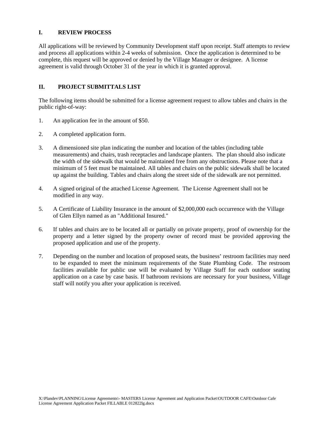#### **I. REVIEW PROCESS**

All applications will be reviewed by Community Development staff upon receipt. Staff attempts to review and process all applications within 2-4 weeks of submission. Once the application is determined to be complete, this request will be approved or denied by the Village Manager or designee. A license agreement is valid through October 31 of the year in which it is granted approval.

#### **II. PROJECT SUBMITTALS LIST**

The following items should be submitted for a license agreement request to allow tables and chairs in the public right-of-way:

- 1. An application fee in the amount of \$50.
- 2. A completed application form.
- 3. A dimensioned site plan indicating the number and location of the tables (including table measurements) and chairs, trash receptacles and landscape planters. The plan should also indicate the width of the sidewalk that would be maintained free from any obstructions. Please note that a minimum of 5 feet must be maintained. All tables and chairs on the public sidewalk shall be located up against the building. Tables and chairs along the street side of the sidewalk are not permitted.
- 4. A signed original of the attached License Agreement. The License Agreement shall not be modified in any way.
- 5. A Certificate of Liability Insurance in the amount of \$2,000,000 each occurrence with the Village of Glen Ellyn named as an "Additional Insured."
- 6. If tables and chairs are to be located all or partially on private property, proof of ownership for the property and a letter signed by the property owner of record must be provided approving the proposed application and use of the property.
- 7. Depending on the number and location of proposed seats, the business' restroom facilities may need to be expanded to meet the minimum requirements of the State Plumbing Code. The restroom facilities available for public use will be evaluated by Village Staff for each outdoor seating application on a case by case basis. If bathroom revisions are necessary for your business, Village staff will notify you after your application is received.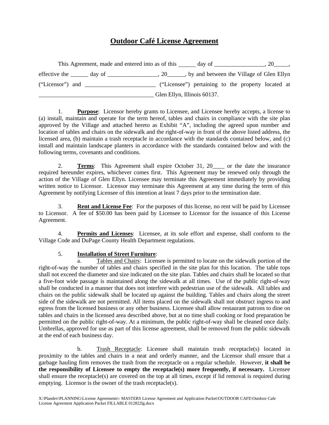### **Outdoor Café License Agreement**

|                  | This Agreement, made and entered into as of this |                             | day of                                             |  |
|------------------|--------------------------------------------------|-----------------------------|----------------------------------------------------|--|
|                  | effective the day of                             | .20                         | , by and between the Village of Glen Ellyn         |  |
| ("Licensor") and |                                                  |                             | ("Licensee") pertaining to the property located at |  |
|                  |                                                  | Glen Ellyn, Illinois 60137. |                                                    |  |

1. **Purpose**: Licensor hereby grants to Licensee, and Licensee hereby accepts, a license to (a) install, maintain and operate for the term hereof, tables and chairs in compliance with the site plan approved by the Village and attached hereto as Exhibit "A", including the agreed upon number and location of tables and chairs on the sidewalk and the right-of-way in front of the above listed address, the licensed area, (b) maintain a trash receptacle in accordance with the standards contained below, and (c) install and maintain landscape planters in accordance with the standards contained below and with the following terms, covenants and conditions.

2. **Terms**: This Agreement shall expire October 31, 20\_\_\_\_ or the date the insurance required hereunder expires, whichever comes first. This Agreement may be renewed only through the action of the Village of Glen Ellyn. Licensee may terminate this Agreement immediately by providing written notice to Licensor. Licensor may terminate this Agreement at any time during the term of this Agreement by notifying Licensee of this intention at least 7 days prior to the termination date.

3. **Rent and License Fee**: For the purposes of this license, no rent will be paid by Licensee to Licensor. A fee of \$50.00 has been paid by Licensee to Licensor for the issuance of this License Agreement.

4. **Permits and Licenses**: Licensee, at its sole effort and expense, shall conform to the Village Code and DuPage County Health Department regulations.

#### 5. **Installation of Street Furniture**:

a. Tables and Chairs: Licensee is permitted to locate on the sidewalk portion of the right-of-way the number of tables and chairs specified in the site plan for this location. The table tops shall not exceed the diameter and size indicated on the site plan. Tables and chairs shall be located so that a five-foot wide passage is maintained along the sidewalk at all times. Use of the public right-of-way shall be conducted in a manner that does not interfere with pedestrian use of the sidewalk. All tables and chairs on the public sidewalk shall be located up against the building. Tables and chairs along the street side of the sidewalk are not permitted. All items placed on the sidewalk shall not obstruct ingress to and egress from the licensed business or any other business. Licensee shall allow restaurant patrons to dine on tables and chairs in the licensed area described above, but at no time shall cooking or food preparation be permitted on the public right-of-way. At a minimum, the public right-of-way shall be cleaned once daily. Umbrellas, approved for use as part of this license agreement, shall be removed from the public sidewalk at the end of each business day.

b. Trash Receptacle: Licensee shall maintain trash receptacle(s) located in proximity to the tables and chairs in a neat and orderly manner, and the Licensor shall ensure that a garbage hauling firm removes the trash from the receptacle on a regular schedule. However, **it shall be the responsibility of Licensee to empty the receptacle(s) more frequently, if necessary.** Licensee shall ensure the receptacle(s) are covered on the top at all times, except if lid removal is required during emptying. Licensor is the owner of the trash receptacle(s).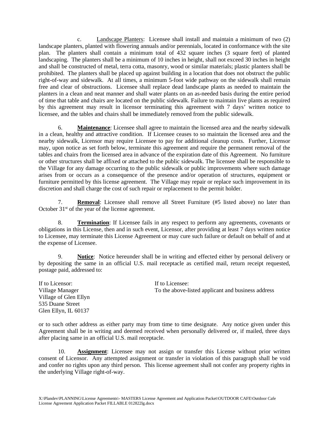c. Landscape Planters: Licensee shall install and maintain a minimum of two (2) landscape planters, planted with flowering annuals and/or perennials, located in conformance with the site plan. The planters shall contain a minimum total of 432 square inches (3 square feet) of planted landscaping. The planters shall be a minimum of 10 inches in height, shall not exceed 30 inches in height and shall be constructed of metal, terra cotta, masonry, wood or similar materials; plastic planters shall be prohibited. The planters shall be placed up against building in a location that does not obstruct the public right-of-way and sidewalk. At all times, a minimum 5-foot wide pathway on the sidewalk shall remain free and clear of obstructions. Licensee shall replace dead landscape plants as needed to maintain the planters in a clean and neat manner and shall water plants on an as-needed basis during the entire period of time that table and chairs are located on the public sidewalk. Failure to maintain live plants as required by this agreement may result in licensor terminating this agreement with 7 days' written notice to licensee, and the tables and chairs shall be immediately removed from the public sidewalk.

6. **Maintenance**: Licensee shall agree to maintain the licensed area and the nearby sidewalk in a clean, healthy and attractive condition. If Licensee ceases to so maintain the licensed area and the nearby sidewalk, Licensor may require Licensee to pay for additional cleanup costs. Further, Licensor may, upon notice as set forth below, terminate this agreement and require the permanent removal of the tables and chairs from the licensed area in advance of the expiration date of this Agreement. No furniture or other structures shall be affixed or attached to the public sidewalk. The licensee shall be responsible to the Village for any damage occurring to the public sidewalk or public improvements where such damage arises from or occurs as a consequence of the presence and/or operation of structures, equipment or furniture permitted by this license agreement. The Village may repair or replace such improvement in its discretion and shall charge the cost of such repair or replacement to the permit holder.

7. **Removal**: Licensee shall remove all Street Furniture (#5 listed above) no later than October 31<sup>st</sup> of the year of the license agreement.

8. **Termination**: If Licensee fails in any respect to perform any agreements, covenants or obligations in this License, then and in such event, Licensor, after providing at least 7 days written notice to Licensee, may terminate this License Agreement or may cure such failure or default on behalf of and at the expense of Licensee.

9. **Notice**: Notice hereunder shall be in writing and effected either by personal delivery or by depositing the same in an official U.S. mail receptacle as certified mail, return receipt requested, postage paid, addressed to:

If to Licensor: If to Licensee: Village Manager To the above-listed applicant and business address Village of Glen Ellyn 535 Duane Street Glen Ellyn, IL 60137

or to such other address as either party may from time to time designate. Any notice given under this Agreement shall be in writing and deemed received when personally delivered or, if mailed, three days after placing same in an official U.S. mail receptacle.

10. **Assignment**: Licensee may not assign or transfer this License without prior written consent of Licensor. Any attempted assignment or transfer in violation of this paragraph shall be void and confer no rights upon any third person. This license agreement shall not confer any property rights in the underlying Village right-of-way.